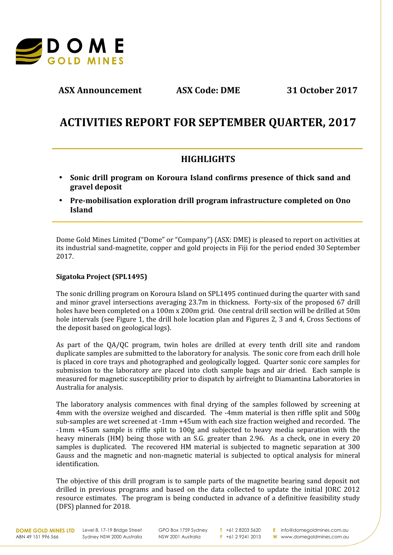

**ASX Announcement ASX Code: DME 31 October 2017**

# **ACTIVITIES REPORT FOR SEPTEMBER QUARTER, 2017**

# **HIGHLIGHTS**

**\_\_\_\_\_\_\_\_\_\_\_\_\_\_\_\_\_\_\_\_\_\_\_\_\_\_\_\_\_\_\_\_\_\_\_\_\_\_\_\_\_\_\_\_\_\_\_\_\_\_\_\_\_\_\_\_\_\_\_\_\_\_\_\_\_\_\_\_\_\_\_\_\_\_\_\_\_\_\_\_\_\_\_\_\_\_**

**\_\_\_\_\_\_\_\_\_\_\_\_\_\_\_\_\_\_\_\_\_\_\_\_\_\_\_\_\_\_\_\_\_\_\_\_\_\_\_\_\_\_\_\_\_\_\_\_\_\_\_\_\_\_\_\_\_\_\_\_\_\_\_\_\_\_\_\_\_\_\_\_\_\_\_\_\_\_\_\_\_\_\_\_\_\_**

- **Sonic drill program on Koroura Island confirms presence of thick sand and gravel deposit**
- **Pre-mobilisation exploration drill program infrastructure completed on Ono Island**

Dome Gold Mines Limited ("Dome" or "Company") (ASX: DME) is pleased to report on activities at its industrial sand-magnetite, copper and gold projects in Fiji for the period ended 30 September 2017.

## **Sigatoka Project (SPL1495)**

The sonic drilling program on Koroura Island on SPL1495 continued during the quarter with sand and minor gravel intersections averaging 23.7m in thickness. Forty-six of the proposed 67 drill holes have been completed on a 100m x 200m grid. One central drill section will be drilled at 50m hole intervals (see Figure 1, the drill hole location plan and Figures 2, 3 and 4, Cross Sections of the deposit based on geological logs).

As part of the QA/QC program, twin holes are drilled at every tenth drill site and random duplicate samples are submitted to the laboratory for analysis. The sonic core from each drill hole is placed in core trays and photographed and geologically logged. Quarter sonic core samples for submission to the laboratory are placed into cloth sample bags and air dried. Each sample is measured for magnetic susceptibility prior to dispatch by airfreight to Diamantina Laboratories in Australia for analysis.

The laboratory analysis commences with final drying of the samples followed by screening at 4mm with the oversize weighed and discarded. The -4mm material is then riffle split and 500g sub-samples are wet screened at -1mm +45um with each size fraction weighed and recorded. The -1mm +45um sample is riffle split to 100g and subjected to heavy media separation with the heavy minerals (HM) being those with an S.G. greater than 2.96. As a check, one in every 20 samples is duplicated. The recovered HM material is subjected to magnetic separation at 300 Gauss and the magnetic and non-magnetic material is subjected to optical analysis for mineral identification.

The objective of this drill program is to sample parts of the magnetite bearing sand deposit not drilled in previous programs and based on the data collected to update the initial JORC 2012 resource estimates. The program is being conducted in advance of a definitive feasibility study (DFS) planned for 2018.

ABN 49 151 996 566

**DOME GOLD MINES LTD** Level 8, 17-19 Bridge Street Sydney NSW 2000 Australia

GPO Box 1759 Sydney NSW 2001 Australia

**T** +61 2 8203 5620 **F** +61 2 9241 2013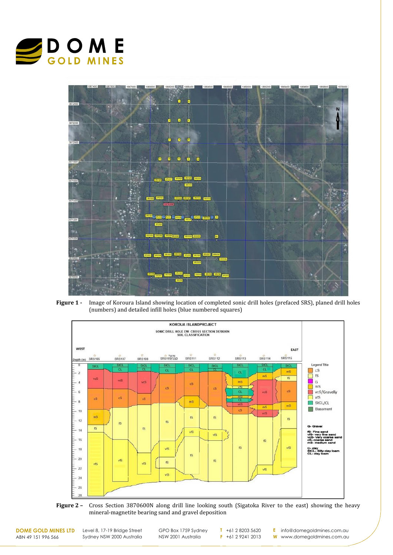



**Figure 1 -** Image of Koroura Island showing location of completed sonic drill holes (prefaced SRS), planed drill holes (numbers) and detailed infill holes (blue numbered squares)



**Figure 2 –** Cross Section 3870600N along drill line looking south (Sigatoka River to the east) showing the heavy mineral-magnetite bearing sand and gravel deposition

**DOME GOLD MINES LTD** ABN 49 151 996 566

Level 8, 17-19 Bridge Street Sydney NSW 2000 Australia

GPO Box 1759 Sydney NSW 2001 Australia

**T** +61 2 8203 5620 **F** +61 2 9241 2013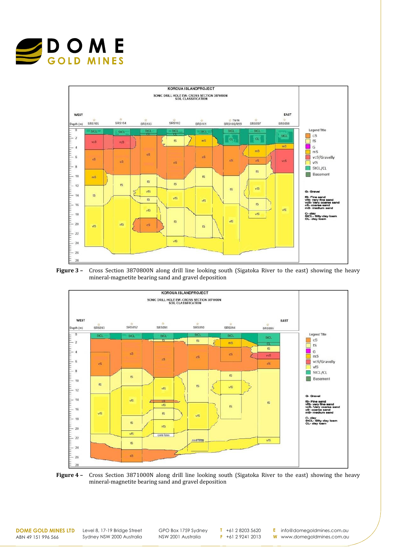









**DOME GOLD MINES LTD** ABN 49 151 996 566

Level 8, 17-19 Bridge Street Sydney NSW 2000 Australia GPO Box 1759 Sydney NSW 2001 Australia

**T** +61 2 8203 5620 **F** +61 2 9241 2013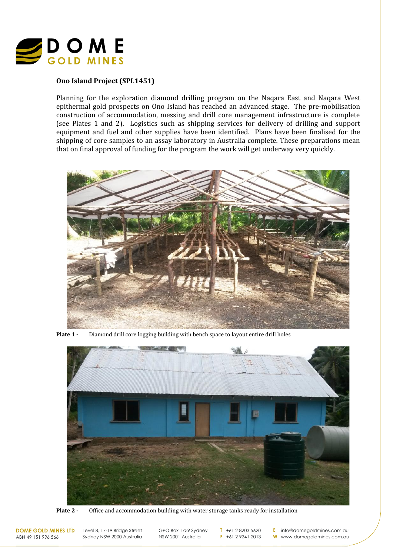

## **Ono Island Project (SPL1451)**

Planning for the exploration diamond drilling program on the Naqara East and Naqara West epithermal gold prospects on Ono Island has reached an advanced stage. The pre-mobilisation construction of accommodation, messing and drill core management infrastructure is complete (see Plates 1 and 2). Logistics such as shipping services for delivery of drilling and support equipment and fuel and other supplies have been identified. Plans have been finalised for the shipping of core samples to an assay laboratory in Australia complete. These preparations mean that on final approval of funding for the program the work will get underway very quickly.



**Plate 1 -** Diamond drill core logging building with bench space to layout entire drill holes



**Plate 2 -** Office and accommodation building with water storage tanks ready for installation

**DOME GOLD MINES LTD** ABN 49 151 996 566

Level 8, 17-19 Bridge Street Sydney NSW 2000 Australia GPO Box 1759 Sydney NSW 2001 Australia

**T** +61 2 8203 5620 **F** +61 2 9241 2013